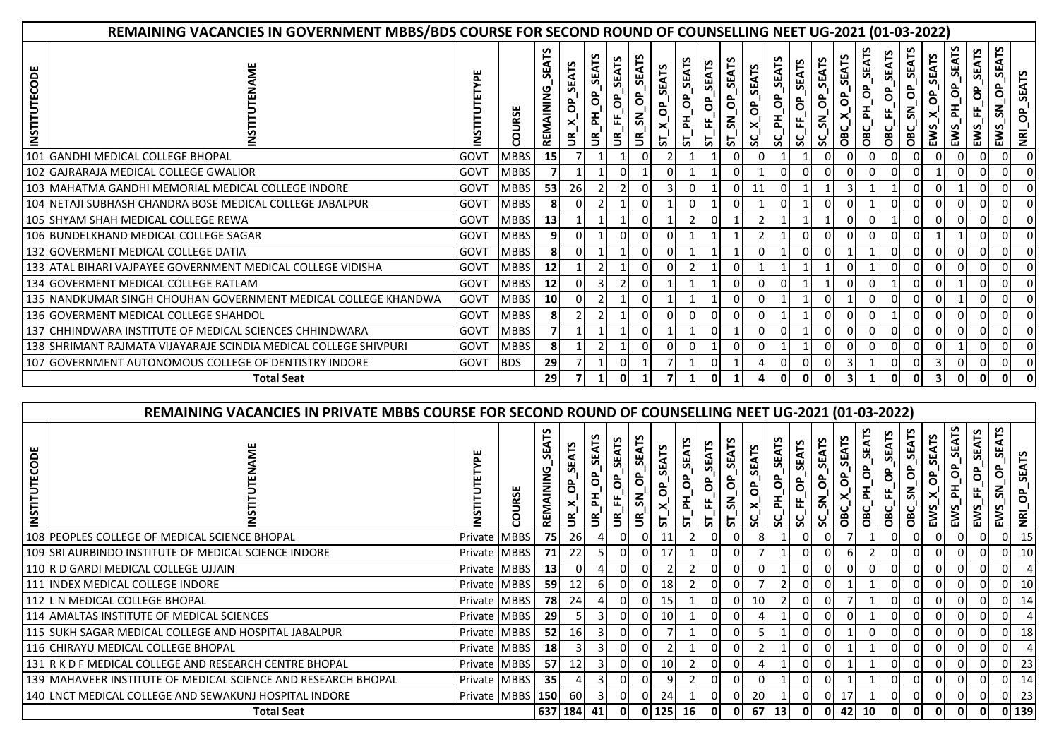|                          | REMAINING VACANCIES IN GOVERNMENT MBBS/BDS COURSE FOR SECOND ROUND OF COUNSELLING NEET UG-2021 (01-03-2022) |      |             |                              |                          |                                                  |                                                            |                                                                    |                        |                   |                                                              |                             |               |                                      |                                   |                |                           |                                      |                                    |                                          |                              |                                            |                               |                                         |                                                 |
|--------------------------|-------------------------------------------------------------------------------------------------------------|------|-------------|------------------------------|--------------------------|--------------------------------------------------|------------------------------------------------------------|--------------------------------------------------------------------|------------------------|-------------------|--------------------------------------------------------------|-----------------------------|---------------|--------------------------------------|-----------------------------------|----------------|---------------------------|--------------------------------------|------------------------------------|------------------------------------------|------------------------------|--------------------------------------------|-------------------------------|-----------------------------------------|-------------------------------------------------|
| TECODE<br><b>INSTITU</b> |                                                                                                             |      | URSE<br>8   | ۴<br><b>SEA</b><br>REMAINING | $\widetilde{\mathbb{F}}$ | <b>SEATS</b><br>$P$ H OP<br>$\tilde{\mathbf{e}}$ | <b>SEATS</b><br>å,<br>$\mathbb{F}$<br>$\tilde{\mathbf{e}}$ | <b>SEATS</b><br>$\sigma$<br>$\overline{\mathbf{s}}$<br>$\tilde{5}$ | <b>SEATS</b><br>ô<br>5 | SEATS<br>ST_PH_OP | <b>SEATS</b><br>$\sigma$ <sub>1</sub><br>$ST$ <sub>_FF</sub> | SN_OP_SEATS<br>$5^{\prime}$ | SC_X_OP_SEATS | <b>SEATS</b><br>$\sigma$<br>폾<br>ွ္တ | <b>SEATS</b><br>$\sigma$<br>SC_FF | SC_SN_OP_SEATS | SEATS<br>$X_0P_1$<br>OBC' | <b>SEATS</b><br>$\sigma$<br>리<br>OBC | <b>SEATS</b><br>$\sigma$<br>OBC_FF | <b>SEATS</b><br>å<br>$\mathbf{S}$<br>OBC | OP_SEATS<br>EWS <sup>-</sup> | <b>SEATS</b><br>ô<br>폰<br>EWS <sub>.</sub> | <b>SEATS</b><br>ô<br>岀<br>EWS | SEATS<br>င်္<br>ŠΓ.<br>EWS <sub>-</sub> | <b>SEATS</b><br>င်္င<br>$\overline{\mathbf{z}}$ |
|                          | 101 GANDHI MEDICAL COLLEGE BHOPAL                                                                           | GOVT | <b>MBBS</b> | 15 <sup>1</sup>              |                          |                                                  |                                                            | 0                                                                  |                        |                   |                                                              |                             |               |                                      |                                   |                |                           |                                      |                                    |                                          |                              |                                            |                               | 01                                      |                                                 |
|                          | 102 GAJRARAJA MEDICAL COLLEGE GWALIOR                                                                       | GOVT | <b>MBBS</b> |                              |                          |                                                  |                                                            |                                                                    |                        |                   |                                                              |                             |               | 0                                    |                                   |                |                           |                                      |                                    |                                          |                              |                                            |                               | ΟI                                      |                                                 |
|                          | 103   MAHATMA GANDHI MEMORIAL MEDICAL COLLEGE INDORE                                                        | GOVT | <b>MBBS</b> | 53                           | 26                       |                                                  |                                                            |                                                                    |                        |                   |                                                              |                             | 11            |                                      |                                   |                |                           |                                      |                                    |                                          |                              |                                            |                               | 01                                      |                                                 |
|                          | 104 NETAJI SUBHASH CHANDRA BOSE MEDICAL COLLEGE JABALPUR                                                    | GOVT | <b>MBBS</b> | 8                            |                          |                                                  |                                                            |                                                                    |                        |                   |                                                              |                             |               |                                      |                                   |                |                           |                                      |                                    |                                          |                              |                                            |                               | $\Omega$                                |                                                 |
|                          | 105 SHYAM SHAH MEDICAL COLLEGE REWA                                                                         | GOVT | <b>MBBS</b> | 13                           |                          |                                                  |                                                            |                                                                    |                        |                   | $\Omega$                                                     |                             |               |                                      |                                   |                |                           |                                      |                                    |                                          |                              |                                            |                               | ΟI                                      |                                                 |
|                          | 106 BUNDELKHAND MEDICAL COLLEGE SAGAR                                                                       | GOVT | <b>MBBS</b> | 9                            | 0                        |                                                  |                                                            |                                                                    |                        |                   |                                                              |                             |               |                                      |                                   |                |                           |                                      |                                    |                                          |                              |                                            |                               | 01                                      |                                                 |
|                          | 132 GOVERMENT MEDICAL COLLEGE DATIA                                                                         | GOVT | <b>MBBS</b> | 8                            | $\Omega$                 |                                                  |                                                            |                                                                    |                        |                   |                                                              |                             |               |                                      |                                   |                |                           |                                      |                                    |                                          |                              |                                            |                               | ٥I                                      |                                                 |
|                          | 133 ATAL BIHARI VAJPAYEE GOVERNMENT MEDICAL COLLEGE VIDISHA                                                 | GOVT | <b>MBBS</b> | 12                           |                          |                                                  |                                                            | n                                                                  |                        |                   |                                                              | 0                           |               |                                      |                                   |                |                           |                                      |                                    |                                          |                              |                                            |                               | 01                                      |                                                 |
|                          | 134 GOVERMENT MEDICAL COLLEGE RATLAM                                                                        | GOVT | <b>MBBS</b> | 12                           | $\Omega$                 |                                                  |                                                            |                                                                    |                        |                   |                                                              |                             |               |                                      |                                   |                |                           |                                      |                                    |                                          |                              |                                            |                               | 01                                      |                                                 |
|                          | 135 NANDKUMAR SINGH CHOUHAN GOVERNMENT MEDICAL COLLEGE KHANDWA                                              | GOVT | <b>MBBS</b> | 10                           | 0                        |                                                  |                                                            |                                                                    |                        |                   |                                                              |                             |               |                                      |                                   |                |                           |                                      |                                    |                                          |                              |                                            |                               | 01                                      |                                                 |
|                          | 136 GOVERMENT MEDICAL COLLEGE SHAHDOL                                                                       | GOVT | <b>MBBS</b> | 8                            |                          |                                                  |                                                            | 01                                                                 |                        |                   | 0                                                            | 0                           |               |                                      |                                   |                |                           |                                      |                                    |                                          |                              |                                            |                               | ΟI                                      |                                                 |
|                          | 137 CHHINDWARA INSTITUTE OF MEDICAL SCIENCES CHHINDWARA                                                     | GOVT | <b>MBBS</b> |                              |                          |                                                  |                                                            |                                                                    |                        |                   | $\Omega$                                                     |                             |               |                                      |                                   |                |                           |                                      |                                    |                                          |                              |                                            |                               |                                         |                                                 |
|                          | 138 SHRIMANT RAJMATA VIJAYARAJE SCINDIA MEDICAL COLLEGE SHIVPURI                                            | GOVT | <b>MBBS</b> | 81                           |                          |                                                  |                                                            | 0                                                                  |                        | 0                 |                                                              |                             | 0             |                                      |                                   |                |                           |                                      |                                    |                                          |                              |                                            |                               | ΟI                                      |                                                 |
|                          | 107 GOVERNMENT AUTONOMOUS COLLEGE OF DENTISTRY INDORE                                                       | GOVT | <b>BDS</b>  | 29                           |                          |                                                  |                                                            |                                                                    |                        |                   | 0                                                            |                             |               | 0                                    |                                   |                |                           |                                      |                                    |                                          |                              |                                            |                               | ΟI                                      |                                                 |
|                          | <b>Total Seat</b>                                                                                           |      |             | <b>29</b>                    |                          |                                                  |                                                            |                                                                    |                        |                   | <sup>0</sup>                                                 |                             |               | $\Omega$                             |                                   | $\mathbf{0}$   | 3                         |                                      |                                    |                                          | З                            |                                            |                               | ΟI                                      |                                                 |

|                                  | REMAINING VACANCIES IN PRIVATE MBBS COURSE FOR SECOND ROUND OF COUNSELLING NEET UG-2021 (01-03-2022) |                  |      |                 |                 |                             |                                               |                                             |                 |                              |                                          |                                                        |                                      |                               |                                      |                                                         |                                 |                                     |                               |                  |                              |                               |                           |                                     |                                        |
|----------------------------------|------------------------------------------------------------------------------------------------------|------------------|------|-----------------|-----------------|-----------------------------|-----------------------------------------------|---------------------------------------------|-----------------|------------------------------|------------------------------------------|--------------------------------------------------------|--------------------------------------|-------------------------------|--------------------------------------|---------------------------------------------------------|---------------------------------|-------------------------------------|-------------------------------|------------------|------------------------------|-------------------------------|---------------------------|-------------------------------------|----------------------------------------|
| ۵<br>8<br>Ĕ<br>5<br><b>NSTIT</b> |                                                                                                      |                  | URSE | ۴<br>분          | ⋚               | <b>SEATS</b><br>$\tilde{5}$ | <b>SEATS</b><br>$\sigma$<br>Щ,<br>$\tilde{5}$ | <b>EAT</b><br>ô<br>$\widetilde{\mathbb{E}}$ | <b>SEATS</b>    | <b>SEATS</b><br>ô<br>곱<br>ᡃᢑ | SEATS<br>$\sigma$ <sub>1</sub><br>岀<br>5 | <b>SEATS</b><br>$\sigma$<br>$\mathbf{S}^{\prime}$<br>능 | <b>SEATS</b><br>$\ddot{\sigma}$<br>ິ | <b>SEATS</b><br>ð<br>폾<br>ပ္တ | <b>SEATS</b><br>$\sigma$<br>岀<br>ပ္တ | <b>SEATS</b><br>$\sigma$<br>$\tilde{\mathbf{S}}$<br>ပ္တ | <b>SEATS</b><br>$\sigma$<br>OBC | <b>LAJS</b><br>$\sigma$<br>ᇍ<br>OBC | <b>SEATS</b><br>8<br>삐<br>OBC | SEAT<br>ô<br>OBC | OP_SEATS<br>EWS <sub>.</sub> | <b>SEATS</b><br>ô<br>폾<br>EWS | <b>SEATS</b><br>င်<br>EWS | ₩.<br>င်္င<br>Š.<br>EW <sub>2</sub> | <b>SEATS</b><br>င်္င<br>$\overline{R}$ |
|                                  | 108 PEOPLES COLLEGE OF MEDICAL SCIENCE BHOPAL                                                        | Private   MBBS   |      | 75              | <b>26</b>       |                             |                                               |                                             |                 |                              |                                          |                                                        |                                      |                               |                                      |                                                         |                                 |                                     |                               |                  |                              |                               |                           | 01                                  | 15                                     |
|                                  | 109 SRI AURBINDO INSTITUTE OF MEDICAL SCIENCE INDORE                                                 | Private MBBS     |      | <b>71</b>       | 22              |                             |                                               |                                             |                 |                              | 0                                        |                                                        |                                      |                               |                                      |                                                         |                                 |                                     |                               |                  |                              |                               |                           | ΟI                                  | 10                                     |
|                                  | 110 R D GARDI MEDICAL COLLEGE UJJAIN                                                                 | Private MBBS     |      | 13 <sup>1</sup> | ΩI              |                             |                                               |                                             |                 |                              |                                          |                                                        |                                      |                               |                                      |                                                         |                                 |                                     |                               |                  |                              |                               |                           | 01                                  |                                        |
|                                  | 111 INDEX MEDICAL COLLEGE INDORE                                                                     | Private   MBBS   |      | 59              | 12              |                             |                                               | ΩI                                          | 18              |                              | 01                                       |                                                        |                                      |                               |                                      |                                                         |                                 |                                     |                               |                  |                              |                               |                           | 01                                  | 10                                     |
|                                  | 112 L N MEDICAL COLLEGE BHOPAL                                                                       | Private   MBBS   |      | 78              | 24              |                             |                                               | OI                                          | <b>15</b>       |                              | ΟI                                       |                                                        | 10                                   |                               |                                      |                                                         |                                 |                                     |                               |                  |                              |                               |                           | 01                                  | 14                                     |
|                                  | 114 AMALTAS INSTITUTE OF MEDICAL SCIENCES                                                            | Private   MBBS   |      | <b>291</b>      |                 |                             |                                               | 01                                          | <b>10</b>       |                              | 0                                        |                                                        |                                      |                               |                                      |                                                         |                                 |                                     |                               |                  |                              |                               |                           |                                     |                                        |
|                                  | 115 SUKH SAGAR MEDICAL COLLEGE AND HOSPITAL JABALPUR                                                 | Private MBBS     |      | 52              | <b>16</b>       |                             |                                               |                                             |                 |                              | $\Omega$                                 |                                                        |                                      |                               |                                      |                                                         |                                 |                                     |                               |                  |                              |                               |                           | 01                                  | 18                                     |
|                                  | 116 CHIRAYU MEDICAL COLLEGE BHOPAL                                                                   | Private   MBBS   |      | <b>18</b>       | 3               |                             |                                               |                                             |                 |                              | 0                                        |                                                        |                                      |                               |                                      |                                                         |                                 |                                     |                               |                  |                              |                               |                           |                                     |                                        |
|                                  | 131 R K D F MEDICAL COLLEGE AND RESEARCH CENTRE BHOPAL                                               | Private   MBBS   |      | 57              | 12 <sub>l</sub> |                             |                                               |                                             | 10 <sup>1</sup> |                              | ΟI                                       |                                                        |                                      |                               |                                      |                                                         |                                 |                                     |                               |                  |                              |                               |                           | 01                                  | 23                                     |
|                                  | 139 MAHAVEER INSTITUTE OF MEDICAL SCIENCE AND RESEARCH BHOPAL                                        | Private MBBS     |      | 35              |                 |                             |                                               |                                             |                 |                              |                                          |                                                        |                                      |                               |                                      |                                                         |                                 |                                     |                               |                  |                              |                               |                           | ΟI                                  | 14                                     |
|                                  | 140 LNCT MEDICAL COLLEGE AND SEWAKUNJ HOSPITAL INDORE                                                | Private MBBS 150 |      |                 | 60              |                             |                                               | ΩI                                          | 24              |                              | ΩI                                       |                                                        | 20                                   |                               |                                      |                                                         | 17                              |                                     |                               |                  |                              |                               |                           | ΟI                                  | 23                                     |
|                                  | <b>Total Seat</b>                                                                                    |                  |      |                 | 637 184 41      |                             | 0 I                                           |                                             | 0 125 16        |                              | 01                                       | 0 I                                                    | 67                                   | 13                            | 0 I                                  | 0 I                                                     |                                 | 42 10                               | - O I                         | 0 I              |                              |                               | 0 I                       |                                     | 0 139                                  |